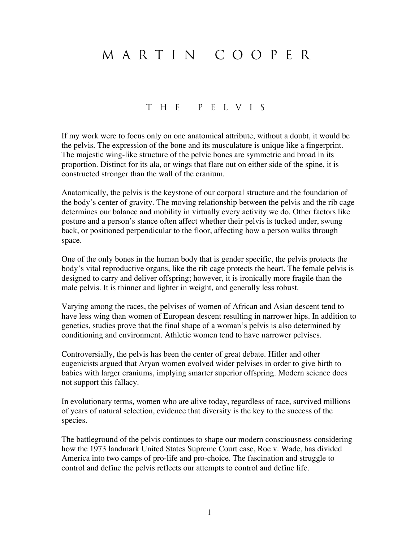## M A R T I N C o o p e r

## T h e p e l v i s

If my work were to focus only on one anatomical attribute, without a doubt, it would be the pelvis. The expression of the bone and its musculature is unique like a fingerprint. The majestic wing-like structure of the pelvic bones are symmetric and broad in its proportion. Distinct for its ala, or wings that flare out on either side of the spine, it is constructed stronger than the wall of the cranium.

Anatomically, the pelvis is the keystone of our corporal structure and the foundation of the body's center of gravity. The moving relationship between the pelvis and the rib cage determines our balance and mobility in virtually every activity we do. Other factors like posture and a person's stance often affect whether their pelvis is tucked under, swung back, or positioned perpendicular to the floor, affecting how a person walks through space.

One of the only bones in the human body that is gender specific, the pelvis protects the body's vital reproductive organs, like the rib cage protects the heart. The female pelvis is designed to carry and deliver offspring; however, it is ironically more fragile than the male pelvis. It is thinner and lighter in weight, and generally less robust.

Varying among the races, the pelvises of women of African and Asian descent tend to have less wing than women of European descent resulting in narrower hips. In addition to genetics, studies prove that the final shape of a woman's pelvis is also determined by conditioning and environment. Athletic women tend to have narrower pelvises.

Controversially, the pelvis has been the center of great debate. Hitler and other eugenicists argued that Aryan women evolved wider pelvises in order to give birth to babies with larger craniums, implying smarter superior offspring. Modern science does not support this fallacy.

In evolutionary terms, women who are alive today, regardless of race, survived millions of years of natural selection, evidence that diversity is the key to the success of the species.

The battleground of the pelvis continues to shape our modern consciousness considering how the 1973 landmark United States Supreme Court case, Roe v. Wade, has divided America into two camps of pro-life and pro-choice. The fascination and struggle to control and define the pelvis reflects our attempts to control and define life.